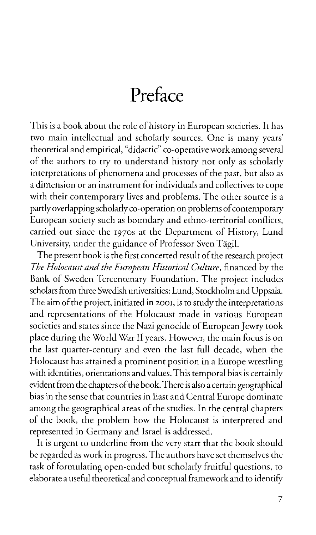# Preface

This is a book about the role of history in European societies. It has two main intellectual and scholarly sources. One is many years' theoretical and empirical, "didactic" co-operative work among several of the authors to try to understand history not only as scholarly interpretations of phenomena and processes of the past, but also as a dimension or an instrument for individuals and collectives to cope with their contemporary lives and problems. The other source is a partly overlapping scholarly co-operation on problems of contemporary European society such as boundary and ethno-territorial conflicts, carried out since the 1970s at the Department of History, Lund University, under the guidance of Professor Sven Tägil.

The present book is the first concerted result of the research project *The Holocaust and the European Historical Culture*, financed by the Bank of Sweden Tercentenary Foundation. The project includes scholars from three Swedish universities: Lund, Stockholm and Uppsala. The aim of the project, initiated in 2001, is to study the interpretations and representations of the Holocaust made in various European societies and states since the Nazi genocide of European Jewry took place during the World War II years. However, the main focus is on the last quarter-century and even the last full decade, when the Holocaust has attained a prominent position in a Europe wrestling with identities, orientations and values. This temporal bias is certainly evident from the chapters of the book. There is also a certain geographical bias in the sense that countries in East and Central Europe dominate among the geographical areas of the studies. In the central chapters of the book, the problem how the Holocaust is interpreted and represented in Germany and Israel is addressed.

It is urgent to underline from the very start that the book should be regarded as work in progress. The authors have set themselves the task of formulating open-ended but scholarly fruitful questions, to elaborate a useful theoretical and conceptual framework and to identify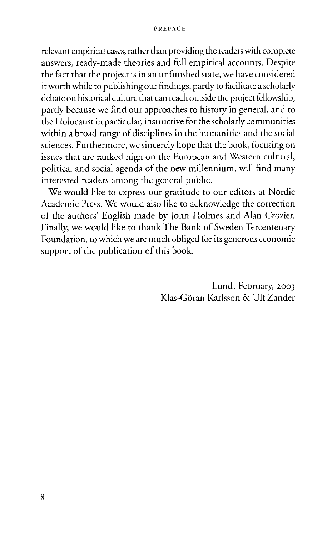relevant empirical cases, rather than providing the readers with complete answers, ready-made theories and full empirical accounts. Despite the fact that the project is in an unfinished state, we have considered it worth while to publishing our findings, partly to facilitate a scholarly debate on historical culture that can reach outside the project fellowship, partly because we find our approaches to history in general, and to the Holocaust in particular, instructive for the scholarly communities within a broad range of disciplines in the humanities and the social sciences. Furthermore, we sincerely hope that the book, focusing on issues that are ranked high on the European and Western cultural, political and social agenda of the new millennium, will find many interested readers among the general public.

We would like to express our gratitude to our editors at Nordic Academic Press. We would also like to acknowledge the correction of the authors' English made by John Holmes and Alan Crozier. Finally, we would like to thank The Bank of Sweden Tercentenary Foundation, to which we are much obliged for its generous economic support of the publication of this book.

> Lund, February, 2003 Klas-Goran Karlsson & U lf Zander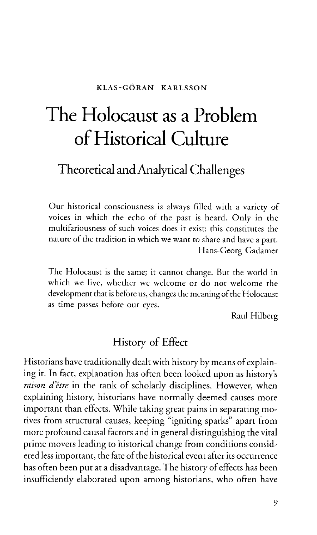#### KLAS-GÔRAN KARLSSON

# The Holocaust as a Problem of Historical Culture

### Theoretical and Analytical Challenges

Our historical consciousness is always filled with a variety of voices in which the echo of the past is heard. Only in the multifariousness of such voices does it exist: this constitutes the nature of the tradition in which we want to share and have a part. Hans-Georg Gadamer

The Holocaust is the same; it cannot change. But the world in which we live, whether we welcome or do not welcome the development that is before us, changes the meaning of the Holocaust as time passes before our eyes.

Raul Hilberg

#### History of Effect

Historians have traditionally dealt with history by means of explaining it. In fact, explanation has often been looked upon as history's raison d'être in the rank of scholarly disciplines. However, when explaining history, historians have normally deemed causes more important than effects. While taking great pains in separating motives from structural causes, keeping "igniting sparks" apart from more profound causal factors and in general distinguishing the vital prime movers leading to historical change from conditions considered less important, the fate of the historical event after its occurrence has often been put at a disadvantage. The history of effects has been insufficiently elaborated upon among historians, who often have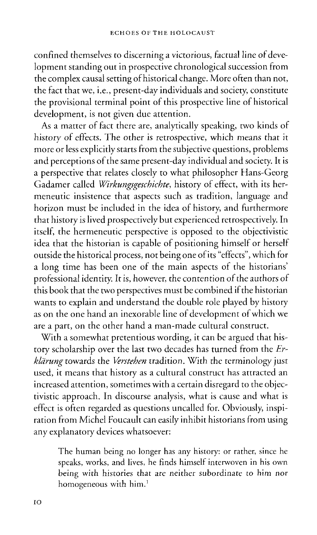confined themselves to discerning a victorious, factual line of development standing out in prospective chronological succession from the complex causal setting of historical change. More often than not, the fact that we, i.e., present-day individuals and society, constitute the provisional terminal point of this prospective line of historical development, is not given due attention.

As a matter of fact there are, analytically speaking, two kinds of history of effects. The other is retrospective, which means that it more or less explicitly starts from the subjective questions, problems and perceptions of the same present-day individual and society. It is a perspective that relates closely to what philosopher Hans-Georg Gadamer called *Wirkungsgeschichte,* history of effect, with its hermeneutic insistence that aspects such as tradition, language and horizon must be included in the idea of history, and furthermore that history is lived prospectively but experienced retrospectively. In itself, the hermeneutic perspective is opposed to the objectivistic idea that the historian is capable of positioning himself or herself outside the historical process, not being one of its "effects", which for a long time has been one of the main aspects of the historians' professional identity. It is, however, the contention of the authors of this book that the two perspectives must be combined if the historian wants to explain and understand the double role played by history as on the one hand an inexorable line of development of which we are a part, on the other hand a man-made cultural construct.

With a somewhat pretentious wording, it can be argued that history scholarship over the last two decades has turned from the *Erklärung towards* the *Verstehen* tradition. With the terminology just used, it means that history as a cultural construct has attracted an increased attention, sometimes with a certain disregard to the objectivistic approach. In discourse analysis, what is cause and what is effect is often regarded as questions uncalled for. Obviously, inspiration from Michel Foucault can easily inhibit historians from using any explanatory devices whatsoever:

The human being no longer has any history: or rather, since he speaks, works, and lives, he finds himself interwoven in his own being with histories that are neither subordinate to him nor homogeneous with him.'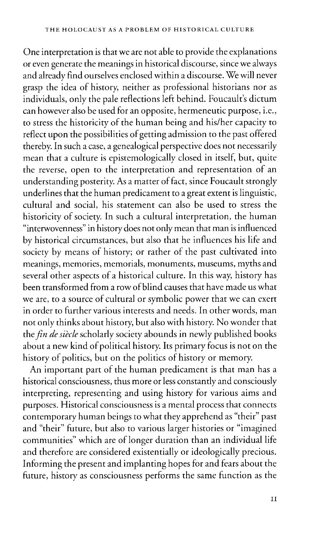One interpretation is that we are not able to provide the explanations or even generate the meanings in historical discourse, since we always and already find ourselves enclosed within a discourse. We will never grasp the idea of history, neither as professional historians nor as individuals, only the pale reflections left behind. Foucault's dictum can however also be used for an opposite, hermeneutic purpose, i.e., to stress the historicity of the human being and his/her capacity to reflect upon the possibilities of getting admission to the past offered thereby. In such a case, a genealogical perspective does not necessarily mean that a culture is epistemologically closed in itself, but, quite the reverse, open to the interpretation and representation of an understanding posterity. As a matter of fact, since Foucault strongly underlines that the human predicament to a great extent is linguistic, cultural and social, his statement can also be used to stress the historicity of society. In such a cultural interpretation, the human "interwovenness" in history does not only mean that man is influenced by historical circumstances, but also that he influences his life and society by means of history; or rather of the past cultivated into meanings, memories, memorials, monuments, museums, myths and several other aspects of a historical culture. In this way, history has been transformed from a row of blind causes that have made us what we are, to a source of cultural or symbolic power that we can exert in order to further various interests and needs. In other words, man not only thinks about history, but also with history. No wonder that the *fin de siecle* scholarly society abounds in newly published books about a new kind of political history. Its primary focus is not on the history of politics, but on the politics of history or memory.

An important part of the human predicament is that man has a historical consciousness, thus more or less constantly and consciously interpreting, representing and using history for various aims and purposes. Flistorical consciousness is a mental process that connects contemporary human beings to what they apprehend as "their" past and "their" future, but also to various larger histories or "imagined communities" which are of longer duration than an individual life and therefore are considered existentially or ideologically precious. Informing the present and implanting hopes for and fears about the future, history as consciousness performs the same function as the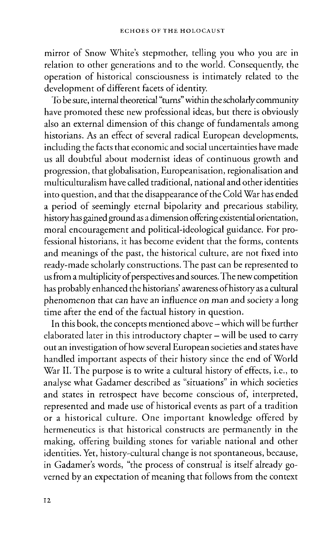mirror of Snow White's stepmother, telling you who you are in relation to other generations and to the world. Consequently, the operation of historical consciousness is intimately related to the development of different facets of identity.

To be sure, internal theoretical "turns" within the scholarly community have promoted these new professional ideas, but there is obviously also an external dimension of this change of fundamentals among historians. As an effect of several radical European developments, including the facts that economic and social uncertainties have made us all doubtful about modernist ideas of continuous growth and progression, that globalisation, Europeanisation, regionalisation and multiculturalism have called traditional, national and other identities into question, and that the disappearance of the Cold War has ended a period of seemingly eternal bipolarity and precarious stability, history has gained ground as a dimension offering existential orientation, moral encouragement and political-ideological guidance. For professional historians, it has become evident that the forms, contents and meanings of the past, the historical culture, are not fixed into ready-made scholarly constructions. The past can be represented to us from a multiplicity of perspectives and sources. The new competition has probably enhanced the historians' awareness of history as a cultural phenomenon that can have an influence on man and society a long time after the end of the factual history in question.

In this book, the concepts mentioned above - which will be further elaborated later in this introductory chapter — will be used to carry out an investigation of how several European societies and states have handled important aspects of their history since the end of World War II. The purpose is to write a cultural history of effects, i.e., to analyse what Gadamer described as "situations" in which societies and states in retrospect have become conscious of, interpreted, represented and made use of historical events as part of a tradition or a historical culture. One important knowledge offered by hermeneutics is that historical constructs are permanently in the making, offering building stones for variable national and other identities. Yet, history-cultural change is not spontaneous, because, in Gadamer's words, "the process of construal is itself already governed by an expectation of meaning that follows from the context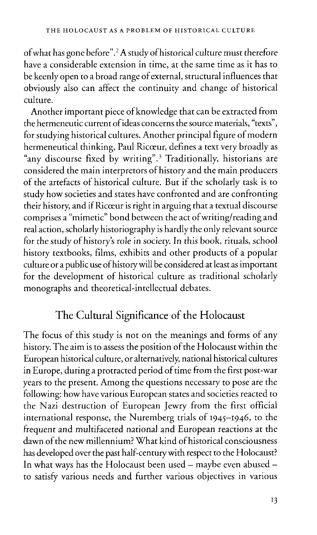of what has gone before".<sup>2</sup> A study of historical culture must therefore have a considerable extension in time, at the same time as it has to be keenly open to a broad range of external, structural influences that obviously also can affect the continuity and change of historical culture.

Another important piece of knowledge that can be extracted from the hermeneutic current of ideas concerns the source materials, "texts", for studying historical cultures. Another principal figure of modern hermeneutical thinking, Paul Ricœur, defines a text very broadly as "any discourse fixed by writing".<sup>3</sup> Traditionally, historians are considered the main interpretors of history and the main producers of the artefacts of historical culture. But if the scholarly task is to study how societies and states have confronted and are confronting their history, and if Ricoeur is right in arguing that a textual discourse comprises a "mimetic" bond between the act of writing/reading and real action, scholarly historiography is hardly the only relevant source for the study of history's role in society. In this book, rituals, school history textbooks, films, exhibits and other products of a popular culture or a public use of history will be considered at least as important for the development of historical culture as traditional scholarly monographs and theoretical-intellectual debates.

#### The Cultural Significance of the Holocaust

The focus of this study is not on the meanings and forms of any history. The aim is to assess the position of the Holocaust within the European historical culture, or alternatively, national historical cultures in Europe, during a protracted period of time from the first post-war years to the present. Among the questions necessary to pose are the following: how have various European states and societies reacted to the Nazi destruction of European Jewry from the first official international response, the Nuremberg trials of 1945-1946, to the frequent and multifaceted national and European reactions at the dawn of the new millennium? What kind of historical consciousness has developed over the past half-century with respect to the Holocaust? In what ways has the Holocaust been used - maybe even abused to satisfy various needs and further various objectives in various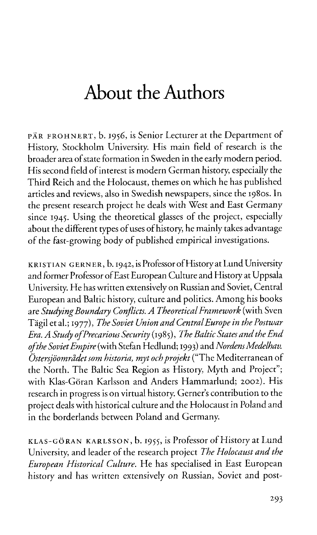## About the Authors

PÄR FROHNERT, b. 1956, is Senior Lecturer at the Department of History, Stockholm University. His main field of research is the broader area of state formation in Sweden in the early modern period. His second field of interest is modern German history, especially the Third Reich and the Holocaust, themes on which he has published articles and reviews, also in Swedish newspapers, since the 1980s. In the present research project he deals with West and East Germany since 1945. Using the theoretical glasses of the project, especially about the different types of uses of history, he mainly takes advantage of the fast-growing body of published empirical investigations.

KRISTIAN GERNER, b. 1942, is Professor of History at Lund University and former Professor of East European Culture and History at Uppsala University. He has written extensively on Russian and Soviet, Central European and Baltic history, culture and politics. Among his books are *Studying Boundary Conflicts. A Theoretical Framework* (with Sven Tagil et al.; 1977), *The Soviet Union and Central Europe in the Postwar Era. A Study ofPrecarious Security* (1985), *The Baltic States and the End o f the Soviet Empire* (with Stefan Hedlund; 1993) and *Nordens Medelhav.* Östersjöområdet som historia, myt och projekt ("The Mediterranean of the North. The Baltic Sea Region as History, Myth and Project"; with Klas-Göran Karlsson and Anders Hammarlund; 2002). His research in progress is on virtual history. Gerner's contribution to the project deals with historical culture and the Holocaust in Poland and in the borderlands between Poland and Germany.

KLAS-GÖRAN KARLSSON, b. 1955, is Professor of History at Lund University, and leader of the research project *The Holocaust and the European Historical Culture.* He has specialised in East European history and has written extensively on Russian, Soviet and post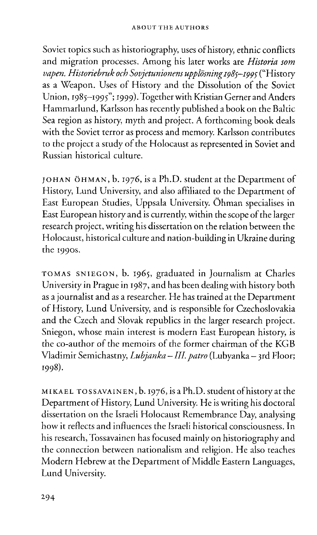Soviet topics such as historiography, uses of history, ethnic conflicts and migration processes. Among his later works are *Historia som vapen. Historiebruk och Sovjetunionens upplosning 1985—19*y5 ("History as a Weapon. Uses of History and the Dissolution of the Soviet Union, 1985-1995"; 1999). Together with Kristian Gerner and Anders Hammarlund, Karlsson has recently published a book on the Baltic Sea region as history, myth and project. A forthcoming book deals with the Soviet terror as process and memory. Karlsson contributes to the project a study of the Holocaust as represented in Soviet and Russian historical culture.

JOHAN ÖHMAN,  $b.$  1976, is a Ph.D. student at the Department of History, Lund University, and also affiliated to the Department of East European Studies, Uppsala University. Ohman specialises in East European history and is currently, within the scope of the larger research project, writing his dissertation on the relation between the Holocaust, historical culture and nation-building in Ukraine during the 1990s.

TOMAS SNIEGON, b. 1965, graduated in Journalism at Charles University in Prague in 1987, and has been dealing with history both as a journalist and as a researcher. He has trained at the Department of History, Lund University, and is responsible for Czechoslovakia and the Czech and Slovak republics in the larger research project. Sniegon, whose main interest is modern East European history, is the co-author of the memoirs of the former chairman of the KGB Vladimir Semichastny, *Lubjanka—III. patro* (Lubyanka — 3rd Floor; 1998).

MIKAEL TOSSAVAINEN,  $b.$  1976, is a Ph.D. student of history at the Department of History, Lund University. He is writing his doctoral dissertation on the Israeli Holocaust Remembrance Day, analysing how it reflects and influences the Israeli historical consciousness. In his research, Tossavainen has focused mainly on historiography and the connection between nationalism and religion. He also teaches Modern Hebrew at the Department of Middle Eastern Languages, Lund University.